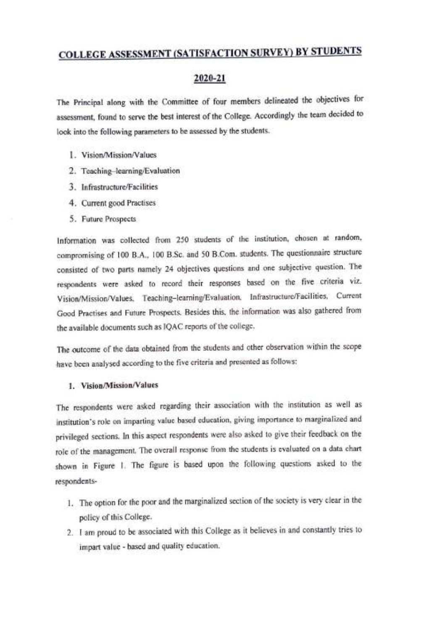# COLLEGE ASSESSMENT (SATISFACTION SURVEY) BY STUDENTS

# 2020-21

The Principal along with the Committee of four members delineated the objectives for assessment, found to serve the best interest of the College. Accordingly the team decided to look into the following parameters to be assessed by the students.

- 1. Vision/Mission/Values
- 2. Teaching-learning/Evaluation
- 3. Infrastructure/Facilities
- 4. Current good Practises
- 5. Future Prospects

Information was collected from 250 students of the institution, chosen at random, compromising of 100 B.A.., 100 B.Sc. and 50 B.Com. students. The questionnaire structure consisted of two parts namely 24 objectives questions and one subjective question. The respondents were asked to record their responses based on the five criteria viz. Vision/Mision/Values, Teaching-learning/Evaluation. Infrastructure/Facilities, Current Good Practises and Future Prospects. Besides this, the information was also gathered from the available documents such as 1QAC reports of the college.

The outcome of the data obtained from the students and other observation within the scope have been analysed according to the five criteria and presented as follows:

# 1. Vision/Mission/Values

The respondents were asked regarding their association with the institution as well as institution's role on imparting value based education, giving importance to marginalized and privileged sections. In this aspect respondents were also asked to give their feedback on the role of the management. The overall response from the students is evaluated on a data chart shown in Figure 1. The figure is based upon the following questions asked to the respondents-

- 1. The option for the poor and the marginalized section of the society is very clear in the policy of this College.
- 2. I am proud to be associated with this College as it believes in and constantly tries to impart value - based and quality education.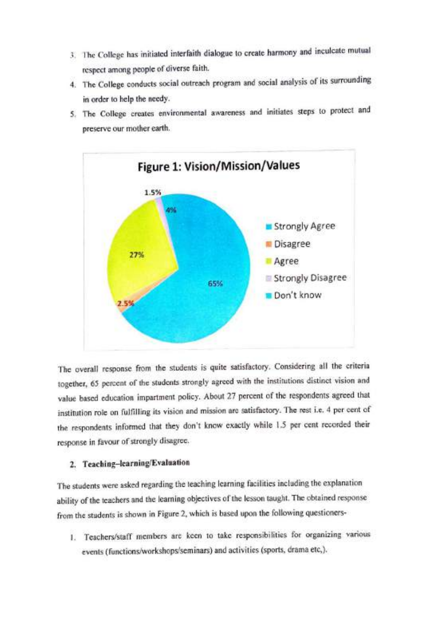- 3. The College has initiated interfaith dialogue to create harmony and inculcate mutual respect among people of diverse faith.
- 4. The College conducts social outreach program and social analysis of its surrounding in order to help the needy.
- 5. The College creates environmental awareness and initiates steps to protect and preserve our mother earth.



The overall response from the students is quite satisfactory. Considering all the criteria together, 65 percent of the students strongly agreed with the institutions distinct vision and value based education impartment policy. About 27 percent of the respondents agreed that institution role on fulfilling its vision and mission are satisfactory. The rest i.e. 4 per cent of the respondents informed that they don't know exactly while 1.5 per cent recorded their response in favour of strongly disagree.

# 2. Teaching-learning/Evaluation

The students were asked regarding the teaching learning facilities including the explanation ability of the teachers and the learning objectives of the lesson taught. The obtained response from the students is shown in Figure 2, which is based upon the following questioners-

1. Teachers/staff members are keen to take responsibilities for organizing various events (functions/workshops/seminars) and activities (sports, drama etc.).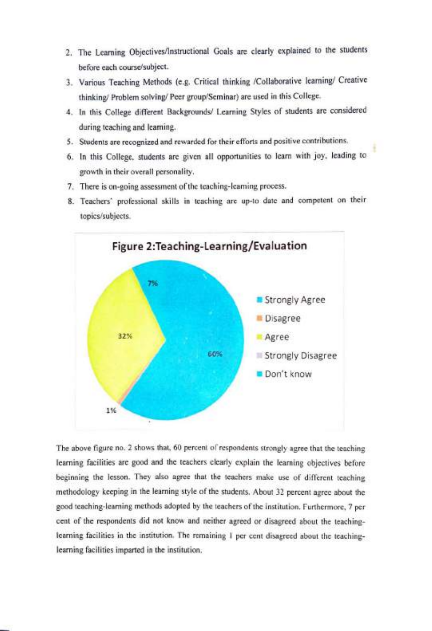- 2. The Learning Objectives/Instructional Goals are clearly explained to the students before each course/subject.
- 3. Various Teaching Methods (e.g. Critical thinking /Collaborative learning/ Creative thinking/ Problem solving/ Peer group/Seminar) are used in this College.
- 4. In this College different Backgrounds/ Learning Styles of students are considered during teaching and learning.
- 5. Students are recognized and rewarded for their efforts and positive contributions.
- 6. In this College. students are given all opportunities to learn with joy, leading to growth in their overall personality.
- 7. There is on-going assessment of the teaching-learning process.
- 8. Teachers' professional skills in teaching are up-to date and competent on their topics/subjects.



The above figure no. 2 shows that, 60 percent of respondents strongly agree that the teaching learning facilities are good and the teachers clearly explain the learning objectives before beginning the lesson. They also agree that the teachers make use of different teaching methodology keeping in the learning style of the students. About 32 percent agree about the good teaching-learning methods adopted by the teachers of the institution. Furthermore, 7 per cent of the respondents did not know and neither agreed or disagreed about the teachinglearning facilities in the institution. The remaining I per cent disagreed about the teachinglearning facilities imparted in the institution.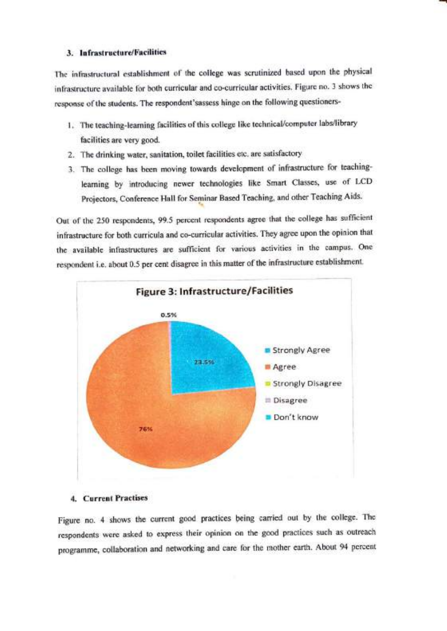# 3. Infrastructure/Facilities

The infrastructural cstablishment of the college was scrutinized based upon the physical infrastructure available for both curricular and co-curricular activities. Figure no. 3 shows the response of the students. The respondent'sassess hinge on the following questioners-

- 1. The teaching-learning facilities of this college like technical/computer labs/library facilities are very good.
- 2. The drinking water, sanitation, toilet facilities etc. are satisfactory
- 3. The college has been moving towards development of infrastructure for teachinglearning by introducing newer technologies like Smart Classes, use of LCD Projectors, Conference Hall for Seminar Based Teaching, and other Teaching Aids.

Out of the 250 respondents, 99.5 percent respondents agree that the college has sufficient infrastructure for both curricula and co-curricular activities. They agree upon the opinion that the available infrastructures are sufficient for various activities in the campus. One respondent i.e. about 0.5 per cent disagree in this matter of the infrastructure establishment.



# 4. Current Practises

Figure no. 4 shows the current good practices being carried out by the college. The respondents were asked to express their opinion on the good practices such as outreach programme, collaboration and networking and care for the mother earth. About 94 percent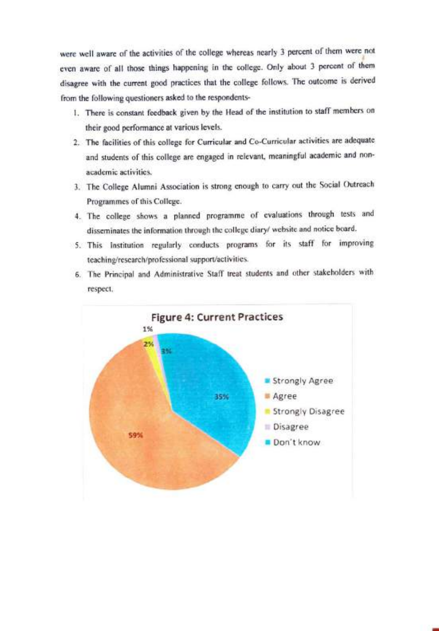were well aware of the activities of the college whereas nearly 3 percent of them were not even aware of all those things happening in the college. Only about 3 percent of them disagree with the current good practices that the college follows. The outcome is derived from the following questioners asked to the respondents-

- I. There is constant feedback given by the Head of the institution to staff members on their good performance at various levels.
- 2. The facilities of this college for Curricular and Co-Curricular activities are adequate and students of this college are engaged in relevant, meaningful academic and non academic activities.
- 3. The College Alumni Association is strong enough to carry out the Social Outreach Programmes of this College.
- 4. The college shows a planned programme of evaluations through tests and disseminates the information through the college diary/ website and notice board.
- 5. This Institution regularly conducts programs for its staff for improving teaching/research/professional support/activities.
- 6. The Principal and Administrative Staff treat students and other stakeholders with respect.

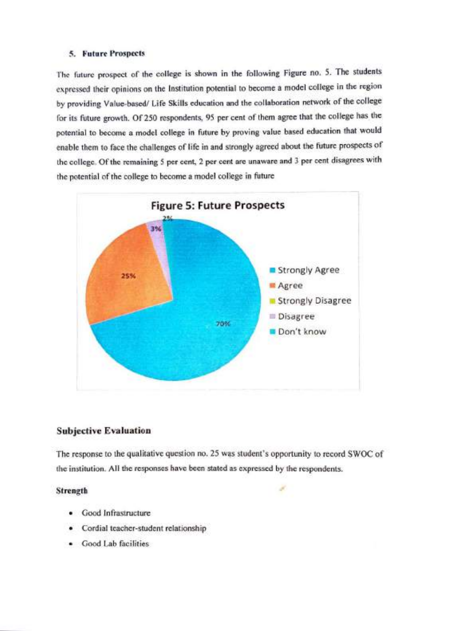# 5. Future Prospects

The future prospect of the college is shown in the following Figure no. 5. The students expressed their opinions on the Institution potential to become a model college in the region by providing Value-based/ Life Skills education and the collaboration network of the college for its future growth. Of 250 respondents, 95 per cent of them agree that the college has the potential to become a model college in future by proving value based education that would enable them to face the challenges of life in and strongly agreed about the future prospects of the college. of the remaining 5 per cent, 2 per cent are unaware and 3 per cent disagrees with the potential of the college to become a model college in future



# Subjective Evaluation

The response to the qualitative question no. 25 was student's opportunity to record SWOC of the institution. All the responses have been stated as expressed by the respondents.

#### **Strength**

- . Good Infrastructure
- Cordial teacher-student relationship
- Good Lab facilities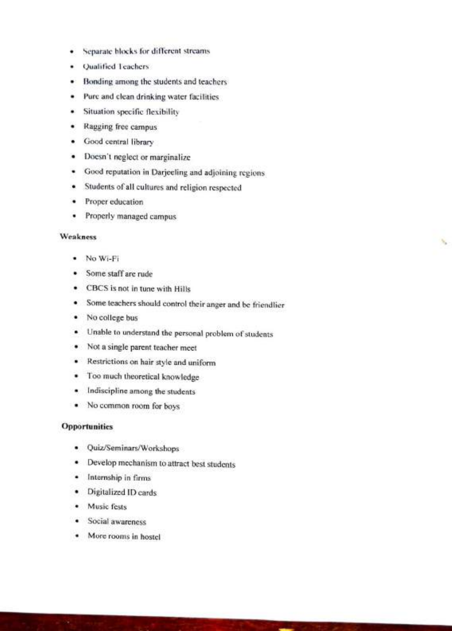- Separate blocks for different streams  $\bullet$
- .Qualified Teachers
- Bonding among the students and teachers
- Pure and clean drinking water facilities .
- Situation specific flexibility
- Ragging free campus
- Good central library
- Doesn't neglect or marginalize
- Good reputation in Darjeeling and adjoining regions
- Students of all cultures and religion respected
- Proper education ٠
- Properly managed campus ٠

#### Weakness

- No Wi-Fi
- Some staff are rude
- CBCS is not in tune with Hills
- Some teachers should control their anger and be friendlier

×.

- No college bus
- Unable to understand the personal problem of students
- Not a single parent teacher meet
- Restrictions on hair style and uniform
- Too much theoretical knowledge
- Indiscipline among the students
- No common room for boys

#### Opportunities

- Quiz/Seminars/Workshops
- Develop mechanism to attract best students
- Internship in firms
- .Digitalized ID cards
- Music fests
- Social awareness
- More rooms in hostel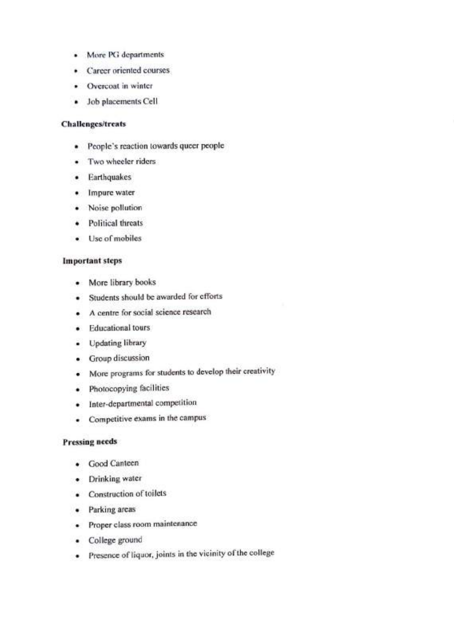- .More PG departments
- . Career oriented courses
- Overcoat in winter
- Job placements Cell

# Challenges/treats

- .People's reaction towards queer people
- Two wheeler riders
- **•** Earthquakes
- Impure water
- Noise pollution
- Political threats
- .Use of mobiles

# Important steps

- More library books  $\bullet$
- Students should be awarded for efforts  $\bullet$
- A centre for social science research
- **•** Educational tours
- Updating library
- Group discussion
- More programs for students to develop their creativity
- **•** Photocopying facilities
- Inter-departmental competition
- Competitive exams in the campus

# Pressing needs

- Good Canteen
- Drinking water
- Construction of toilets
- Parking areas
- Proper class room maintenance
- . College ground
- . Presence of liquo, joints in the vicinity of the college